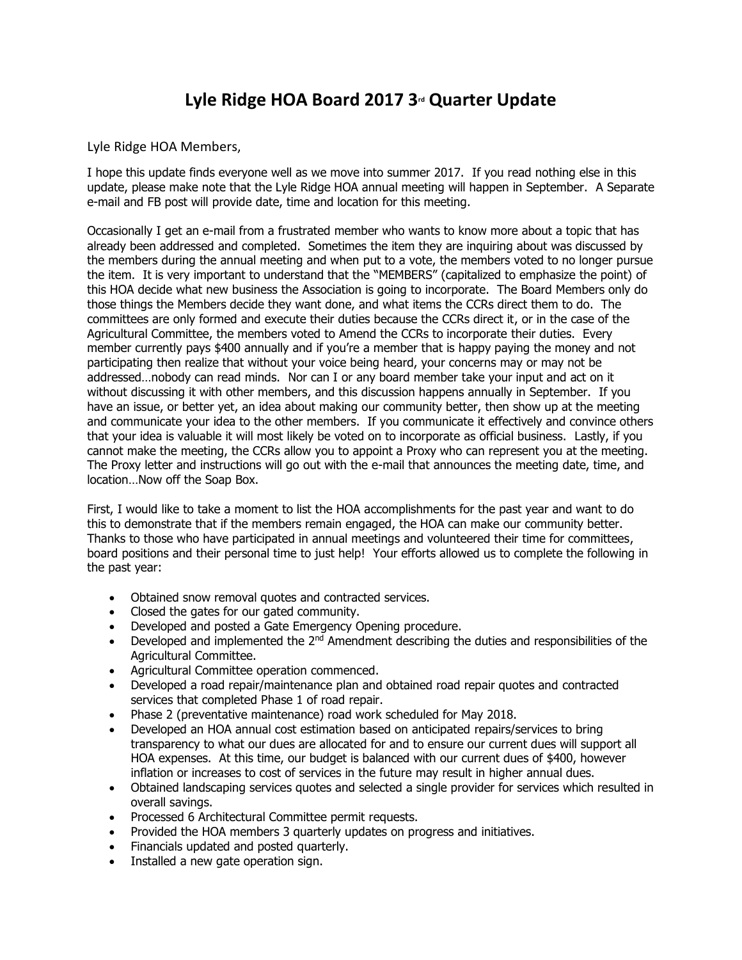## **Lyle Ridge HOA Board 2017 3rd Quarter Update**

Lyle Ridge HOA Members,

I hope this update finds everyone well as we move into summer 2017. If you read nothing else in this update, please make note that the Lyle Ridge HOA annual meeting will happen in September. A Separate e-mail and FB post will provide date, time and location for this meeting.

Occasionally I get an e-mail from a frustrated member who wants to know more about a topic that has already been addressed and completed. Sometimes the item they are inquiring about was discussed by the members during the annual meeting and when put to a vote, the members voted to no longer pursue the item. It is very important to understand that the "MEMBERS" (capitalized to emphasize the point) of this HOA decide what new business the Association is going to incorporate. The Board Members only do those things the Members decide they want done, and what items the CCRs direct them to do. The committees are only formed and execute their duties because the CCRs direct it, or in the case of the Agricultural Committee, the members voted to Amend the CCRs to incorporate their duties. Every member currently pays \$400 annually and if you're a member that is happy paying the money and not participating then realize that without your voice being heard, your concerns may or may not be addressed…nobody can read minds. Nor can I or any board member take your input and act on it without discussing it with other members, and this discussion happens annually in September. If you have an issue, or better yet, an idea about making our community better, then show up at the meeting and communicate your idea to the other members. If you communicate it effectively and convince others that your idea is valuable it will most likely be voted on to incorporate as official business. Lastly, if you cannot make the meeting, the CCRs allow you to appoint a Proxy who can represent you at the meeting. The Proxy letter and instructions will go out with the e-mail that announces the meeting date, time, and location…Now off the Soap Box.

First, I would like to take a moment to list the HOA accomplishments for the past year and want to do this to demonstrate that if the members remain engaged, the HOA can make our community better. Thanks to those who have participated in annual meetings and volunteered their time for committees, board positions and their personal time to just help! Your efforts allowed us to complete the following in the past year:

- Obtained snow removal quotes and contracted services.
- Closed the gates for our gated community.
- Developed and posted a Gate Emergency Opening procedure.
- Developed and implemented the  $2^{nd}$  Amendment describing the duties and responsibilities of the Agricultural Committee.
- Agricultural Committee operation commenced.
- Developed a road repair/maintenance plan and obtained road repair quotes and contracted services that completed Phase 1 of road repair.
- Phase 2 (preventative maintenance) road work scheduled for May 2018.
- Developed an HOA annual cost estimation based on anticipated repairs/services to bring transparency to what our dues are allocated for and to ensure our current dues will support all HOA expenses. At this time, our budget is balanced with our current dues of \$400, however inflation or increases to cost of services in the future may result in higher annual dues.
- Obtained landscaping services quotes and selected a single provider for services which resulted in overall savings.
- Processed 6 Architectural Committee permit requests.
- Provided the HOA members 3 quarterly updates on progress and initiatives.
- Financials updated and posted quarterly.
- Installed a new gate operation sign.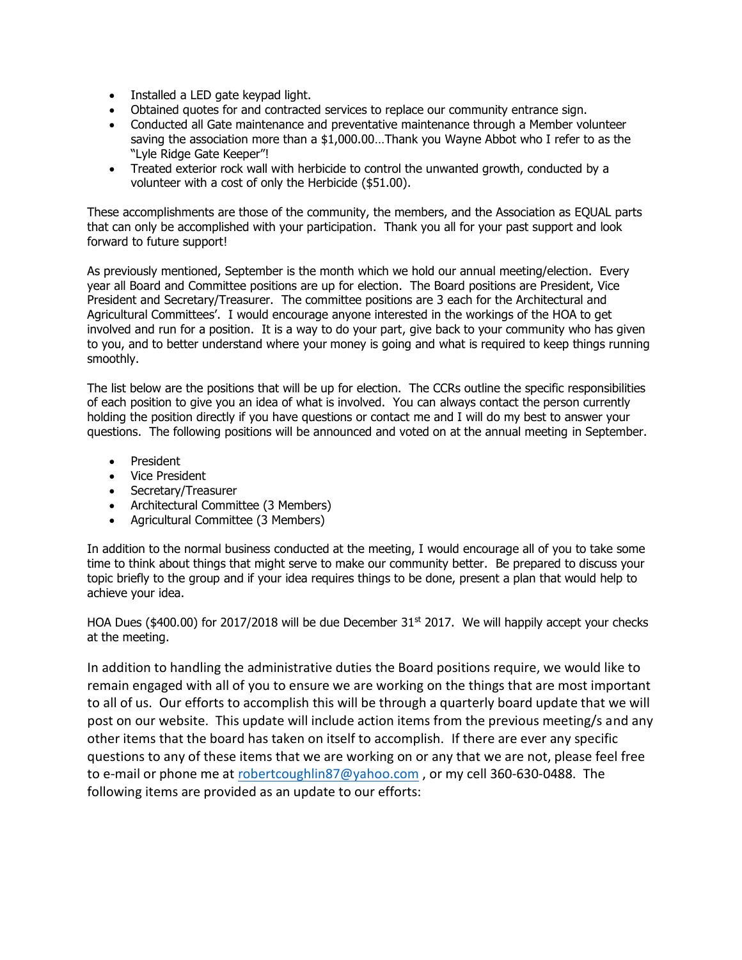- Installed a LED gate keypad light.
- Obtained quotes for and contracted services to replace our community entrance sign.
- Conducted all Gate maintenance and preventative maintenance through a Member volunteer saving the association more than a \$1,000.00…Thank you Wayne Abbot who I refer to as the "Lyle Ridge Gate Keeper"!
- Treated exterior rock wall with herbicide to control the unwanted growth, conducted by a volunteer with a cost of only the Herbicide (\$51.00).

These accomplishments are those of the community, the members, and the Association as EQUAL parts that can only be accomplished with your participation. Thank you all for your past support and look forward to future support!

As previously mentioned, September is the month which we hold our annual meeting/election. Every year all Board and Committee positions are up for election. The Board positions are President, Vice President and Secretary/Treasurer. The committee positions are 3 each for the Architectural and Agricultural Committees'. I would encourage anyone interested in the workings of the HOA to get involved and run for a position. It is a way to do your part, give back to your community who has given to you, and to better understand where your money is going and what is required to keep things running smoothly.

The list below are the positions that will be up for election. The CCRs outline the specific responsibilities of each position to give you an idea of what is involved. You can always contact the person currently holding the position directly if you have questions or contact me and I will do my best to answer your questions. The following positions will be announced and voted on at the annual meeting in September.

- President
- Vice President
- Secretary/Treasurer
- Architectural Committee (3 Members)
- Agricultural Committee (3 Members)

In addition to the normal business conducted at the meeting, I would encourage all of you to take some time to think about things that might serve to make our community better. Be prepared to discuss your topic briefly to the group and if your idea requires things to be done, present a plan that would help to achieve your idea.

HOA Dues (\$400.00) for 2017/2018 will be due December  $31<sup>st</sup>$  2017. We will happily accept your checks at the meeting.

In addition to handling the administrative duties the Board positions require, we would like to remain engaged with all of you to ensure we are working on the things that are most important to all of us. Our efforts to accomplish this will be through a quarterly board update that we will post on our website. This update will include action items from the previous meeting/s and any other items that the board has taken on itself to accomplish. If there are ever any specific questions to any of these items that we are working on or any that we are not, please feel free to e-mail or phone me at [robertcoughlin87@yahoo.com](mailto:robertcoughlin87@yahoo.com) , or my cell 360-630-0488. The following items are provided as an update to our efforts: